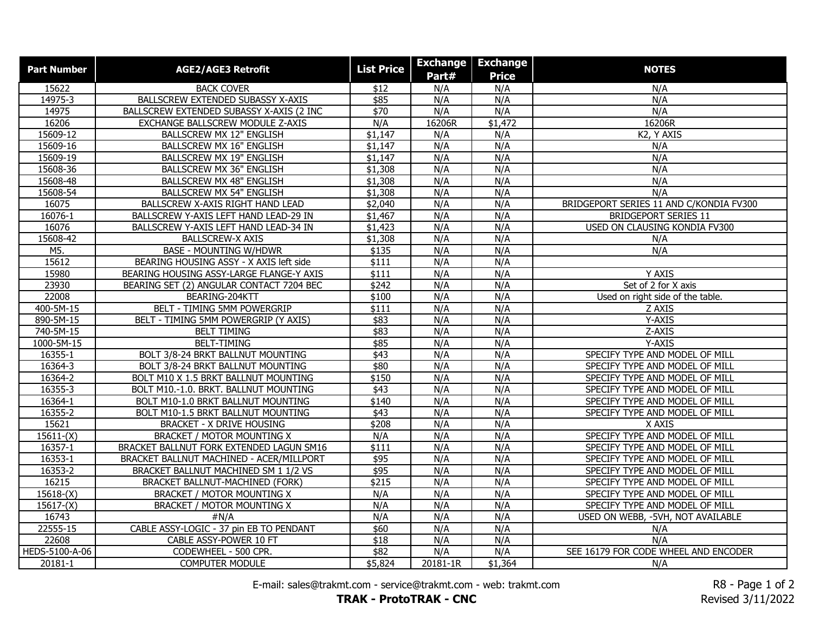| <b>Part Number</b> | <b>AGE2/AGE3 Retrofit</b>                | <b>List Price</b> | <b>Exchange</b> | <b>Exchange</b> | <b>NOTES</b>                            |
|--------------------|------------------------------------------|-------------------|-----------------|-----------------|-----------------------------------------|
|                    |                                          |                   | Part#           | <b>Price</b>    |                                         |
| 15622              | <b>BACK COVER</b>                        | \$12              | N/A             | N/A             | N/A                                     |
| 14975-3            | <b>BALLSCREW EXTENDED SUBASSY X-AXIS</b> | \$85              | N/A             | N/A             | N/A                                     |
| 14975              | BALLSCREW EXTENDED SUBASSY X-AXIS (2 INC | \$70              | N/A             | N/A             | N/A                                     |
| 16206              | EXCHANGE BALLSCREW MODULE Z-AXIS         | N/A               | 16206R          | \$1,472         | 16206R                                  |
| 15609-12           | <b>BALLSCREW MX 12" ENGLISH</b>          | \$1,147           | N/A             | N/A             | K2, Y AXIS                              |
| 15609-16           | BALLSCREW MX 16" ENGLISH                 | \$1,147           | N/A             | N/A             | N/A                                     |
| 15609-19           | <b>BALLSCREW MX 19" ENGLISH</b>          | \$1,147           | N/A             | N/A             | N/A                                     |
| 15608-36           | <b>BALLSCREW MX 36" ENGLISH</b>          | \$1,308           | N/A             | N/A             | N/A                                     |
| 15608-48           | <b>BALLSCREW MX 48" ENGLISH</b>          | \$1,308           | N/A             | N/A             | N/A                                     |
| 15608-54           | <b>BALLSCREW MX 54" ENGLISH</b>          | \$1,308           | N/A             | N/A             | N/A                                     |
| 16075              | BALLSCREW X-AXIS RIGHT HAND LEAD         | \$2,040           | N/A             | N/A             | BRIDGEPORT SERIES 11 AND C/KONDIA FV300 |
| 16076-1            | BALLSCREW Y-AXIS LEFT HAND LEAD-29 IN    | \$1,467           | N/A             | N/A             | <b>BRIDGEPORT SERIES 11</b>             |
| 16076              | BALLSCREW Y-AXIS LEFT HAND LEAD-34 IN    | \$1,423           | N/A             | N/A             | <b>USED ON CLAUSING KONDIA FV300</b>    |
| 15608-42           | <b>BALLSCREW-X AXIS</b>                  | \$1,308           | N/A             | N/A             | N/A                                     |
| M5.                | <b>BASE - MOUNTING W/HDWR</b>            | \$135             | N/A             | N/A             | N/A                                     |
| 15612              | BEARING HOUSING ASSY - X AXIS left side  | \$111             | N/A             | N/A             |                                         |
| 15980              | BEARING HOUSING ASSY-LARGE FLANGE-Y AXIS | \$111             | N/A             | N/A             | Y AXIS                                  |
| 23930              | BEARING SET (2) ANGULAR CONTACT 7204 BEC | \$242             | N/A             | N/A             | Set of 2 for X axis                     |
| 22008              | BEARING-204KTT                           | \$100             | N/A             | N/A             | Used on right side of the table.        |
| 400-5M-15          | BELT - TIMING 5MM POWERGRIP              | \$111             | N/A             | N/A             | Z AXIS                                  |
| 890-5M-15          | BELT - TIMING 5MM POWERGRIP (Y AXIS)     | \$83              | N/A             | N/A             | Y-AXIS                                  |
| 740-5M-15          | <b>BELT TIMING</b>                       | \$83              | N/A             | N/A             | Z-AXIS                                  |
| 1000-5M-15         | <b>BELT-TIMING</b>                       | \$85              | N/A             | N/A             | Y-AXIS                                  |
| 16355-1            | BOLT 3/8-24 BRKT BALLNUT MOUNTING        | \$43              | N/A             | N/A             | SPECIFY TYPE AND MODEL OF MILL          |
| 16364-3            | BOLT 3/8-24 BRKT BALLNUT MOUNTING        | \$80              | N/A             | N/A             | SPECIFY TYPE AND MODEL OF MILL          |
| 16364-2            | BOLT M10 X 1.5 BRKT BALLNUT MOUNTING     | \$150             | N/A             | N/A             | SPECIFY TYPE AND MODEL OF MILL          |
| 16355-3            | BOLT M10.-1.0. BRKT. BALLNUT MOUNTING    | $\sqrt{$43}$      | N/A             | N/A             | SPECIFY TYPE AND MODEL OF MILL          |
| 16364-1            | BOLT M10-1.0 BRKT BALLNUT MOUNTING       | \$140             | N/A             | N/A             | SPECIFY TYPE AND MODEL OF MILL          |
| 16355-2            | BOLT M10-1.5 BRKT BALLNUT MOUNTING       | \$43              | N/A             | N/A             | SPECIFY TYPE AND MODEL OF MILL          |
| 15621              | <b>BRACKET - X DRIVE HOUSING</b>         | \$208             | N/A             | N/A             | X AXIS                                  |
| $15611-(X)$        | <b>BRACKET / MOTOR MOUNTING X</b>        | N/A               | N/A             | N/A             | SPECIFY TYPE AND MODEL OF MILL          |
| 16357-1            | BRACKET BALLNUT FORK EXTENDED LAGUN SM16 | \$111             | N/A             | N/A             | SPECIFY TYPE AND MODEL OF MILL          |
| 16353-1            | BRACKET BALLNUT MACHINED - ACER/MILLPORT | \$95              | N/A             | N/A             | SPECIFY TYPE AND MODEL OF MILL          |
| 16353-2            | BRACKET BALLNUT MACHINED SM 1 1/2 VS     | \$95              | N/A             | N/A             | SPECIFY TYPE AND MODEL OF MILL          |
| 16215              | <b>BRACKET BALLNUT-MACHINED (FORK)</b>   | \$215             | N/A             | N/A             | SPECIFY TYPE AND MODEL OF MILL          |
| $15618-(X)$        | <b>BRACKET / MOTOR MOUNTING X</b>        | N/A               | N/A             | N/A             | SPECIFY TYPE AND MODEL OF MILL          |
| $15617-(X)$        | <b>BRACKET / MOTOR MOUNTING X</b>        | N/A               | N/A             | N/A             | SPECIFY TYPE AND MODEL OF MILL          |
| 16743              | #N/A                                     | N/A               | N/A             | N/A             | USED ON WEBB, -5VH, NOT AVAILABLE       |
| 22555-15           | CABLE ASSY-LOGIC - 37 pin EB TO PENDANT  | \$60              | N/A             | N/A             | N/A                                     |
| 22608              | CABLE ASSY-POWER 10 FT                   | \$18              | N/A             | N/A             | N/A                                     |
| HEDS-5100-A-06     | CODEWHEEL - 500 CPR.                     | \$82              | N/A             | N/A             | SEE 16179 FOR CODE WHEEL AND ENCODER    |
| 20181-1            | <b>COMPUTER MODULE</b>                   | \$5,824           | 20181-1R        | \$1,364         | N/A                                     |

E-mail: sales@trakmt.com - service@trakmt.com - web: trakmt.com